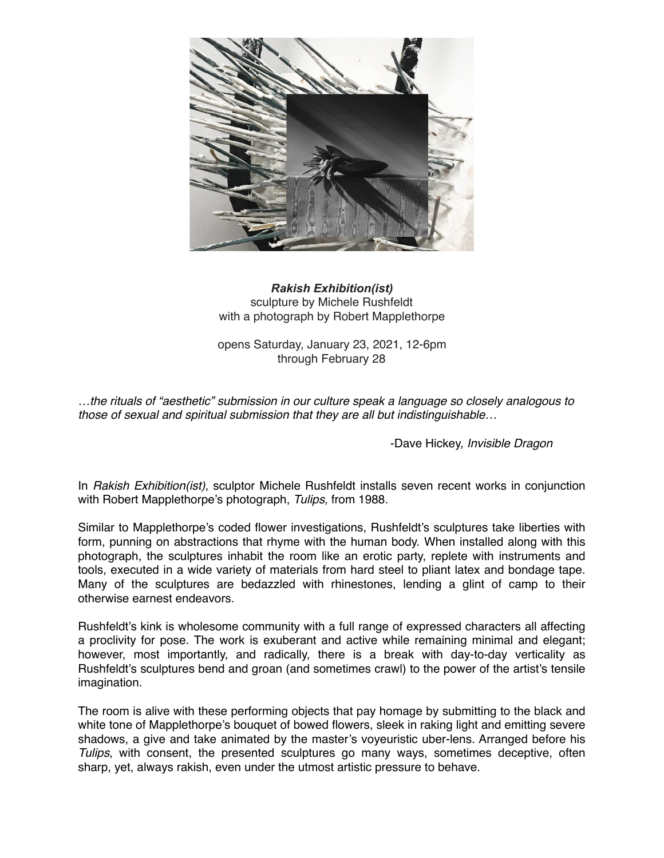

## *Rakish Exhibition(ist)* sculpture by Michele Rushfeldt with a photograph by Robert Mapplethorpe

opens Saturday, January 23, 2021, 12-6pm through February 28

*…the rituals of "aesthetic" submission in our culture speak a language so closely analogous to those of sexual and spiritual submission that they are all but indistinguishable…*

-Dave Hickey, *Invisible Dragon*

In *Rakish Exhibition(ist)*, sculptor Michele Rushfeldt installs seven recent works in conjunction with Robert Mapplethorpe's photograph, *Tulips,* from 1988.

Similar to Mapplethorpe's coded flower investigations, Rushfeldt's sculptures take liberties with form, punning on abstractions that rhyme with the human body. When installed along with this photograph, the sculptures inhabit the room like an erotic party, replete with instruments and tools, executed in a wide variety of materials from hard steel to pliant latex and bondage tape. Many of the sculptures are bedazzled with rhinestones, lending a glint of camp to their otherwise earnest endeavors.

Rushfeldt's kink is wholesome community with a full range of expressed characters all affecting a proclivity for pose. The work is exuberant and active while remaining minimal and elegant; however, most importantly, and radically, there is a break with day-to-day verticality as Rushfeldt's sculptures bend and groan (and sometimes crawl) to the power of the artist's tensile imagination.

The room is alive with these performing objects that pay homage by submitting to the black and white tone of Mapplethorpe's bouquet of bowed flowers, sleek in raking light and emitting severe shadows, a give and take animated by the master's voyeuristic uber-lens. Arranged before his *Tulips*, with consent, the presented sculptures go many ways, sometimes deceptive, often sharp, yet, always rakish, even under the utmost artistic pressure to behave.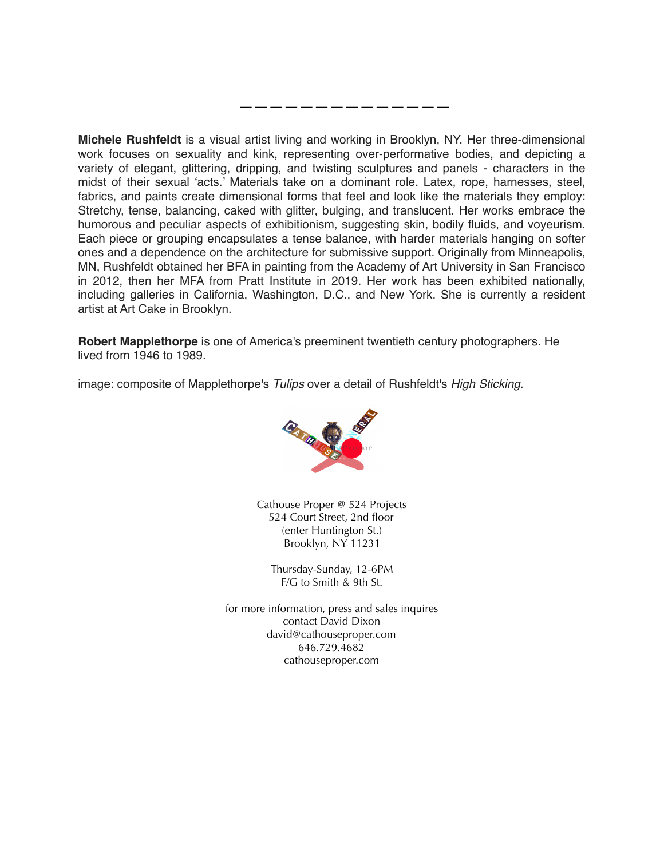**Michele Rushfeldt** is a visual artist living and working in Brooklyn, NY. Her three-dimensional work focuses on sexuality and kink, representing over-performative bodies, and depicting a variety of elegant, glittering, dripping, and twisting sculptures and panels - characters in the midst of their sexual 'acts.' Materials take on a dominant role. Latex, rope, harnesses, steel, fabrics, and paints create dimensional forms that feel and look like the materials they employ: Stretchy, tense, balancing, caked with glitter, bulging, and translucent. Her works embrace the humorous and peculiar aspects of exhibitionism, suggesting skin, bodily fluids, and voyeurism. Each piece or grouping encapsulates a tense balance, with harder materials hanging on softer ones and a dependence on the architecture for submissive support. Originally from Minneapolis, MN, Rushfeldt obtained her BFA in painting from the Academy of Art University in San Francisco in 2012, then her MFA from Pratt Institute in 2019. Her work has been exhibited nationally, including galleries in California, Washington, D.C., and New York. She is currently a resident artist at Art Cake in Brooklyn.

——————————————

**Robert Mapplethorpe** is one of America's preeminent twentieth century photographers. He lived from 1946 to 1989.

image: composite of Mapplethorpe's *Tulips* over a detail of Rushfeldt's *High Sticking.*



Cathouse Proper @ 524 Projects 524 Court Street, 2nd floor (enter Huntington St.) Brooklyn, NY 11231

Thursday-Sunday, 12-6PM F/G to Smith & 9th St.

for more information, press and sales inquires contact David Dixon david@cathouseproper.com 646.729.4682 cathouseproper.com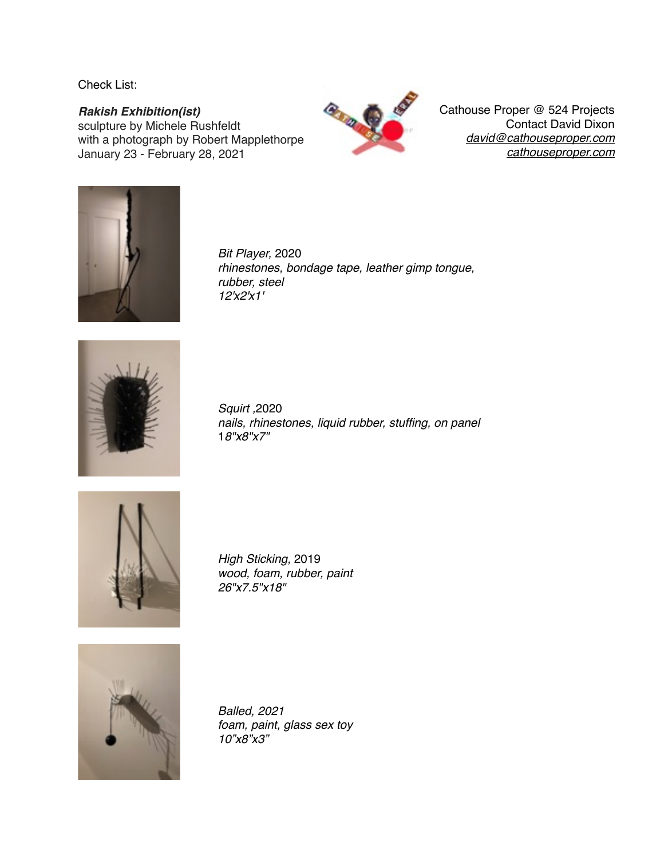Check List:

*Rakish Exhibition(ist)* sculpture by Michele Rushfeldt with a photograph by Robert Mapplethorpe January 23 - February 28, 2021



Cathouse Proper @ 524 Projects Contact David Dixon *[david@cathouseproper.com](mailto:david@cathouseproper.com) [cathouseproper.com](http://cathouseproper.com)*



*Bit Player,* 2020 *rhinestones, bondage tape, leather gimp tongue, rubber, steel 12'x2'x1'*



*Squirt ,*2020 *nails, rhinestones, liquid rubber, stuffing, on panel* 1*8"x8"x7"*



*High Sticking,* 2019 *wood, foam, rubber, paint 26"x7.5"x18"*



*Balled, 2021 foam, paint, glass sex toy 10"x8"x3"*